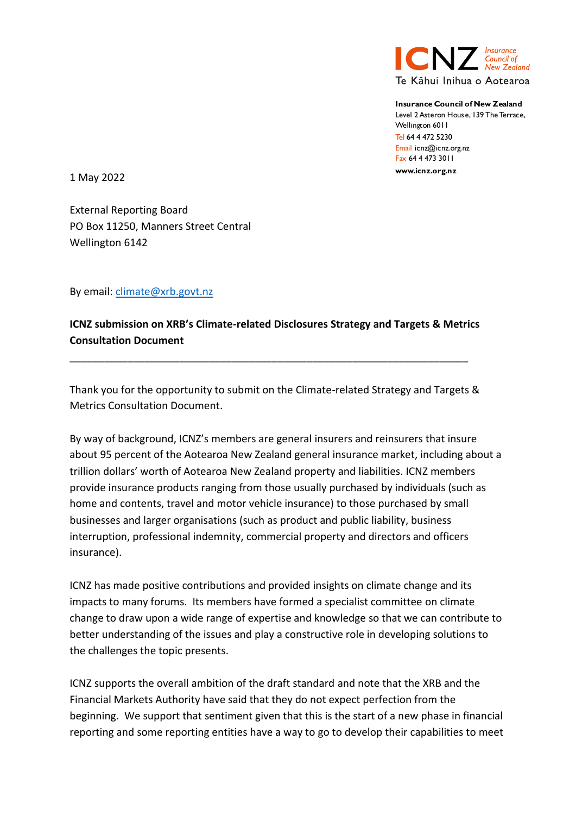

Insurance Council of New **Zealand** Level 2 Asteron House, 139 The Terrace. Wellington 6011 Tel 64 4 472 5230 E Fax 64 4 473 3011 www.icnz.org.nz

1 May 2022

External Reporting Board PO Box 11250, Manners Street Central Wellington 6142

By email: *climate@xrb.govt.nz* 

**ICNZ submission on XRB's Climate-related Disclosures Strategy and Targets & Metrics Consultation Document** 

\_\_\_\_\_\_\_\_\_\_\_\_\_\_\_\_\_\_\_\_\_\_\_\_\_\_\_\_\_\_\_\_\_\_\_\_\_\_\_\_\_\_\_\_\_\_\_\_\_\_\_\_\_\_\_\_\_\_\_\_\_\_\_\_\_\_\_\_\_

Thank you for the opportunity to submit on the Climate-related Strategy and Targets & Metrics Consultation Document.

By way of background, ICNZ's members are general insurers and reinsurers that insure about 95 percent of the Aotearoa New Zealand general insurance market, including about a trillion dollars' worth of Aotearoa New Zealand property and liabilities. ICNZ members provide insurance products ranging from those usually purchased by individuals (such as home and contents, travel and motor vehicle insurance) to those purchased by small businesses and larger organisations (such as product and public liability, business interruption, professional indemnity, commercial property and directors and officers insurance).

ICNZ has made positive contributions and provided insights on climate change and its impacts to many forums. Its members have formed a specialist committee on climate change to draw upon a wide range of expertise and knowledge so that we can contribute to better understanding of the issues and play a constructive role in developing solutions to the challenges the topic presents.

ICNZ supports the overall ambition of the draft standard and note that the XRB and the Financial Markets Authority have said that they do not expect perfection from the beginning. We support that sentiment given that this is the start of a new phase in financial reporting and some reporting entities have a way to go to develop their capabilities to meet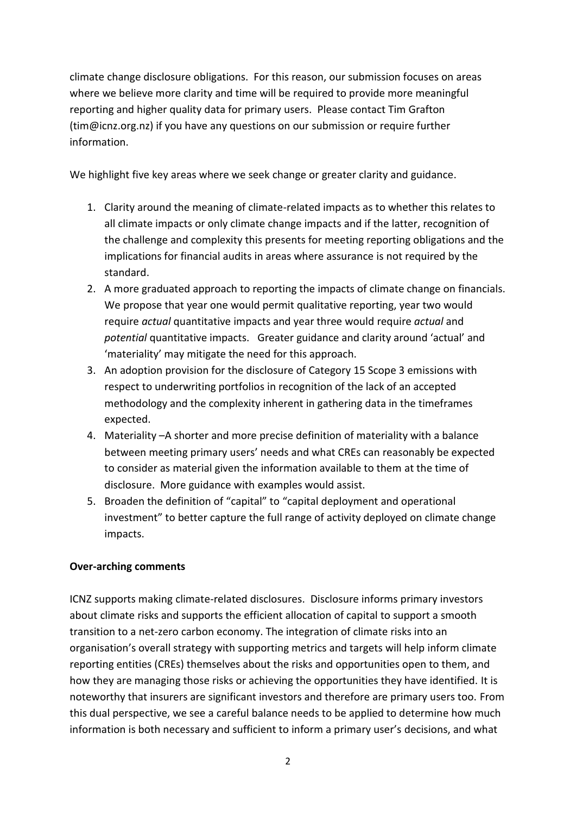climate change disclosure obligations. For this reason, our submission focuses on areas where we believe more clarity and time will be required to provide more meaningful reporting and higher quality data for primary users. Please contact Tim Grafton (tim@icnz.org.nz) if you have any questions on our submission or require further information.

We highlight five key areas where we seek change or greater clarity and guidance.

- 1. Clarity around the meaning of climate-related impacts as to whether this relates to all climate impacts or only climate change impacts and if the latter, recognition of the challenge and complexity this presents for meeting reporting obligations and the implications for financial audits in areas where assurance is not required by the standard.
- 2. A more graduated approach to reporting the impacts of climate change on financials. We propose that year one would permit qualitative reporting, year two would require *actual* quantitative impacts and year three would require *actual* and *potential* quantitative impacts. Greater guidance and clarity around 'actual' and 'materiality' may mitigate the need for this approach.
- 3. An adoption provision for the disclosure of Category 15 Scope 3 emissions with respect to underwriting portfolios in recognition of the lack of an accepted methodology and the complexity inherent in gathering data in the timeframes expected.
- 4. Materiality –A shorter and more precise definition of materiality with a balance between meeting primary users' needs and what CREs can reasonably be expected to consider as material given the information available to them at the time of disclosure. More guidance with examples would assist.
- 5. Broaden the definition of "capital" to "capital deployment and operational investment" to better capture the full range of activity deployed on climate change impacts.

### **Over-arching comments**

ICNZ supports making climate-related disclosures. Disclosure informs primary investors about climate risks and supports the efficient allocation of capital to support a smooth transition to a net-zero carbon economy. The integration of climate risks into an organisation's overall strategy with supporting metrics and targets will help inform climate reporting entities (CREs) themselves about the risks and opportunities open to them, and how they are managing those risks or achieving the opportunities they have identified. It is noteworthy that insurers are significant investors and therefore are primary users too. From this dual perspective, we see a careful balance needs to be applied to determine how much information is both necessary and sufficient to inform a primary user's decisions, and what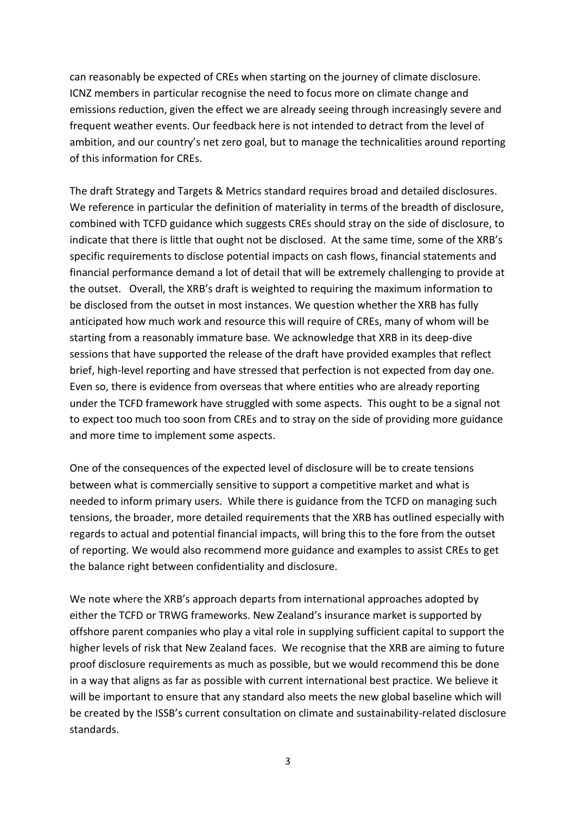can reasonably be expected of CREs when starting on the journey of climate disclosure. ICNZ members in particular recognise the need to focus more on climate change and emissions reduction, given the effect we are already seeing through increasingly severe and frequent weather events. Our feedback here is not intended to detract from the level of ambition, and our country's net zero goal, but to manage the technicalities around reporting of this information for CREs.

The draft Strategy and Targets & Metrics standard requires broad and detailed disclosures. We reference in particular the definition of materiality in terms of the breadth of disclosure, combined with TCFD guidance which suggests CREs should stray on the side of disclosure, to indicate that there is little that ought not be disclosed. At the same time, some of the XRB's specific requirements to disclose potential impacts on cash flows, financial statements and financial performance demand a lot of detail that will be extremely challenging to provide at the outset. Overall, the XRB's draft is weighted to requiring the maximum information to be disclosed from the outset in most instances. We question whether the XRB has fully anticipated how much work and resource this will require of CREs, many of whom will be starting from a reasonably immature base. We acknowledge that XRB in its deep-dive sessions that have supported the release of the draft have provided examples that reflect brief, high-level reporting and have stressed that perfection is not expected from day one. Even so, there is evidence from overseas that where entities who are already reporting under the TCFD framework have struggled with some aspects. This ought to be a signal not to expect too much too soon from CREs and to stray on the side of providing more guidance and more time to implement some aspects.

One of the consequences of the expected level of disclosure will be to create tensions between what is commercially sensitive to support a competitive market and what is needed to inform primary users. While there is guidance from the TCFD on managing such tensions, the broader, more detailed requirements that the XRB has outlined especially with regards to actual and potential financial impacts, will bring this to the fore from the outset of reporting. We would also recommend more guidance and examples to assist CREs to get the balance right between confidentiality and disclosure.

We note where the XRB's approach departs from international approaches adopted by either the TCFD or TRWG frameworks. New Zealand's insurance market is supported by offshore parent companies who play a vital role in supplying sufficient capital to support the higher levels of risk that New Zealand faces. We recognise that the XRB are aiming to future proof disclosure requirements as much as possible, but we would recommend this be done in a way that aligns as far as possible with current international best practice. We believe it will be important to ensure that any standard also meets the new global baseline which will be created by the ISSB's current consultation on climate and sustainability-related disclosure standards.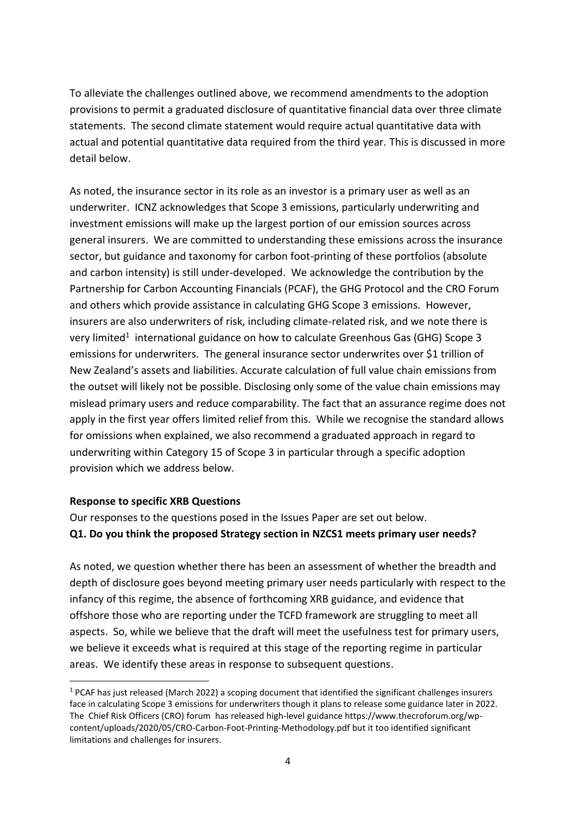To alleviate the challenges outlined above, we recommend amendments to the adoption provisions to permit a graduated disclosure of quantitative financial data over three climate statements. The second climate statement would require actual quantitative data with actual and potential quantitative data required from the third year. This is discussed in more detail below.

As noted, the insurance sector in its role as an investor is a primary user as well as an underwriter. ICNZ acknowledges that Scope 3 emissions, particularly underwriting and investment emissions will make up the largest portion of our emission sources across general insurers. We are committed to understanding these emissions across the insurance sector, but guidance and taxonomy for carbon foot-printing of these portfolios (absolute and carbon intensity) is still under-developed. We acknowledge the contribution by the Partnership for Carbon Accounting Financials (PCAF), the GHG Protocol and the CRO Forum and others which provide assistance in calculating GHG Scope 3 emissions. However, insurers are also underwriters of risk, including climate-related risk, and we note there is very limited<sup>1</sup> international guidance on how to calculate Greenhous Gas (GHG) Scope 3 emissions for underwriters. The general insurance sector underwrites over \$1 trillion of New Zealand's assets and liabilities. Accurate calculation of full value chain emissions from the outset will likely not be possible. Disclosing only some of the value chain emissions may mislead primary users and reduce comparability. The fact that an assurance regime does not apply in the first year offers limited relief from this. While we recognise the standard allows for omissions when explained, we also recommend a graduated approach in regard to underwriting within Category 15 of Scope 3 in particular through a specific adoption provision which we address below.

### **Response to specific XRB Questions**

Our responses to the questions posed in the Issues Paper are set out below. **Q1. Do you think the proposed Strategy section in NZCS1 meets primary user needs?**

As noted, we question whether there has been an assessment of whether the breadth and depth of disclosure goes beyond meeting primary user needs particularly with respect to the infancy of this regime, the absence of forthcoming XRB guidance, and evidence that offshore those who are reporting under the TCFD framework are struggling to meet all aspects. So, while we believe that the draft will meet the usefulness test for primary users, we believe it exceeds what is required at this stage of the reporting regime in particular areas. We identify these areas in response to subsequent questions.

 $1$  PCAF has just released (March 2022) a scoping document that identified the significant challenges insurers face in calculating Scope 3 emissions for underwriters though it plans to release some guidance later in 2022. The Chief Risk Officers (CRO) forum has released high-level guidance https://www.thecroforum.org/wpcontent/uploads/2020/05/CRO-Carbon-Foot-Printing-Methodology.pdf but it too identified significant limitations and challenges for insurers.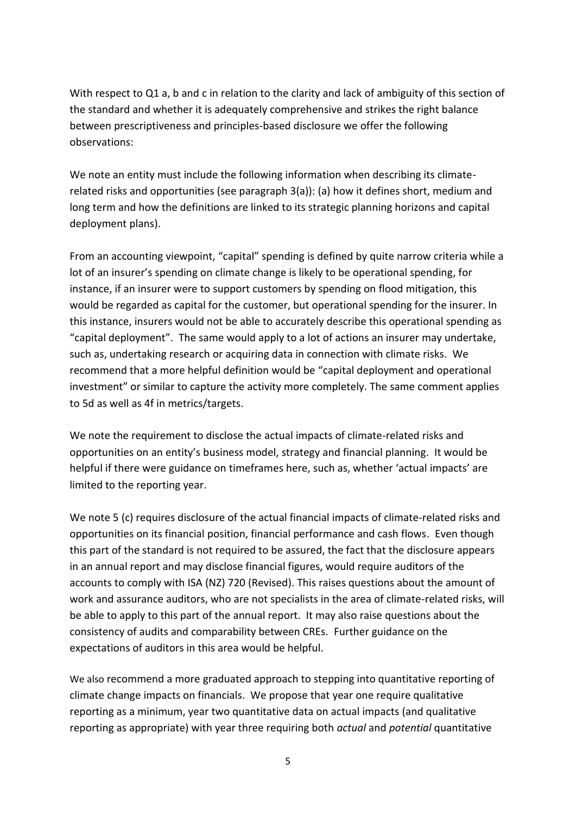With respect to Q1 a, b and c in relation to the clarity and lack of ambiguity of this section of the standard and whether it is adequately comprehensive and strikes the right balance between prescriptiveness and principles-based disclosure we offer the following observations:

We note an entity must include the following information when describing its climaterelated risks and opportunities (see paragraph 3(a)): (a) how it defines short, medium and long term and how the definitions are linked to its strategic planning horizons and capital deployment plans).

From an accounting viewpoint, "capital" spending is defined by quite narrow criteria while a lot of an insurer's spending on climate change is likely to be operational spending, for instance, if an insurer were to support customers by spending on flood mitigation, this would be regarded as capital for the customer, but operational spending for the insurer. In this instance, insurers would not be able to accurately describe this operational spending as "capital deployment". The same would apply to a lot of actions an insurer may undertake, such as, undertaking research or acquiring data in connection with climate risks. We recommend that a more helpful definition would be "capital deployment and operational investment" or similar to capture the activity more completely. The same comment applies to 5d as well as 4f in metrics/targets.

We note the requirement to disclose the actual impacts of climate-related risks and opportunities on an entity's business model, strategy and financial planning. It would be helpful if there were guidance on timeframes here, such as, whether 'actual impacts' are limited to the reporting year.

We note 5 (c) requires disclosure of the actual financial impacts of climate-related risks and opportunities on its financial position, financial performance and cash flows. Even though this part of the standard is not required to be assured, the fact that the disclosure appears in an annual report and may disclose financial figures, would require auditors of the accounts to comply with ISA (NZ) 720 (Revised). This raises questions about the amount of work and assurance auditors, who are not specialists in the area of climate-related risks, will be able to apply to this part of the annual report. It may also raise questions about the consistency of audits and comparability between CREs. Further guidance on the expectations of auditors in this area would be helpful.

We also recommend a more graduated approach to stepping into quantitative reporting of climate change impacts on financials. We propose that year one require qualitative reporting as a minimum, year two quantitative data on actual impacts (and qualitative reporting as appropriate) with year three requiring both *actual* and *potential* quantitative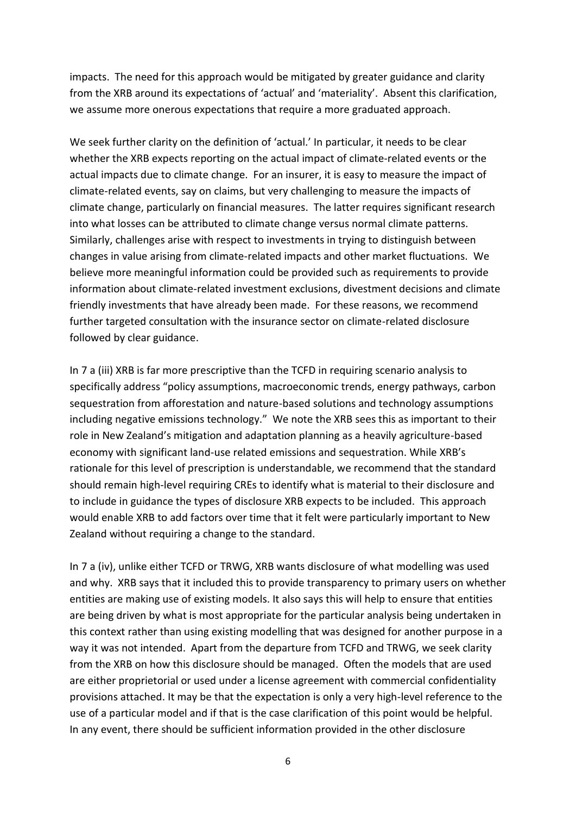impacts. The need for this approach would be mitigated by greater guidance and clarity from the XRB around its expectations of 'actual' and 'materiality'. Absent this clarification, we assume more onerous expectations that require a more graduated approach.

We seek further clarity on the definition of 'actual.' In particular, it needs to be clear whether the XRB expects reporting on the actual impact of climate-related events or the actual impacts due to climate change. For an insurer, it is easy to measure the impact of climate-related events, say on claims, but very challenging to measure the impacts of climate change, particularly on financial measures. The latter requires significant research into what losses can be attributed to climate change versus normal climate patterns. Similarly, challenges arise with respect to investments in trying to distinguish between changes in value arising from climate-related impacts and other market fluctuations. We believe more meaningful information could be provided such as requirements to provide information about climate-related investment exclusions, divestment decisions and climate friendly investments that have already been made. For these reasons, we recommend further targeted consultation with the insurance sector on climate-related disclosure followed by clear guidance.

In 7 a (iii) XRB is far more prescriptive than the TCFD in requiring scenario analysis to specifically address "policy assumptions, macroeconomic trends, energy pathways, carbon sequestration from afforestation and nature-based solutions and technology assumptions including negative emissions technology." We note the XRB sees this as important to their role in New Zealand's mitigation and adaptation planning as a heavily agriculture-based economy with significant land-use related emissions and sequestration. While XRB's rationale for this level of prescription is understandable, we recommend that the standard should remain high-level requiring CREs to identify what is material to their disclosure and to include in guidance the types of disclosure XRB expects to be included. This approach would enable XRB to add factors over time that it felt were particularly important to New Zealand without requiring a change to the standard.

In 7 a (iv), unlike either TCFD or TRWG, XRB wants disclosure of what modelling was used and why. XRB says that it included this to provide transparency to primary users on whether entities are making use of existing models. It also says this will help to ensure that entities are being driven by what is most appropriate for the particular analysis being undertaken in this context rather than using existing modelling that was designed for another purpose in a way it was not intended. Apart from the departure from TCFD and TRWG, we seek clarity from the XRB on how this disclosure should be managed. Often the models that are used are either proprietorial or used under a license agreement with commercial confidentiality provisions attached. It may be that the expectation is only a very high-level reference to the use of a particular model and if that is the case clarification of this point would be helpful. In any event, there should be sufficient information provided in the other disclosure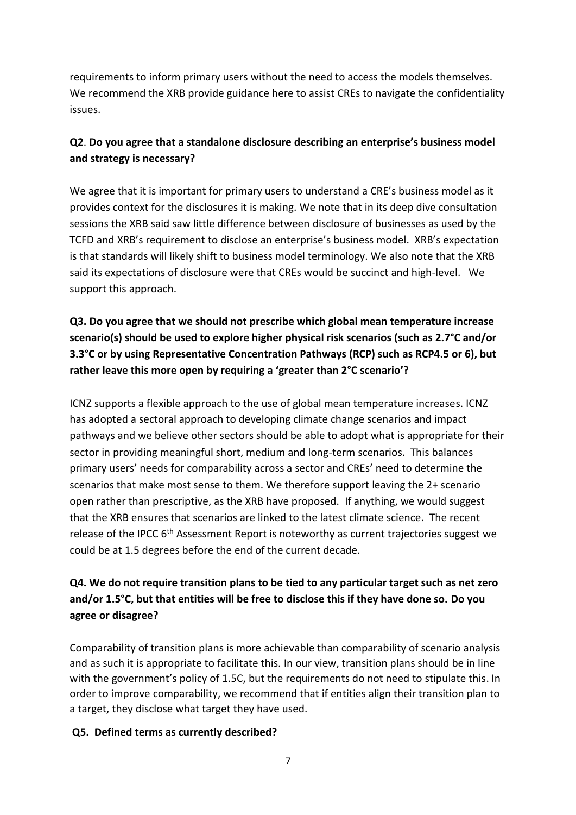requirements to inform primary users without the need to access the models themselves. We recommend the XRB provide guidance here to assist CREs to navigate the confidentiality issues.

# **Q2**. **Do you agree that a standalone disclosure describing an enterprise's business model and strategy is necessary?**

We agree that it is important for primary users to understand a CRE's business model as it provides context for the disclosures it is making. We note that in its deep dive consultation sessions the XRB said saw little difference between disclosure of businesses as used by the TCFD and XRB's requirement to disclose an enterprise's business model. XRB's expectation is that standards will likely shift to business model terminology. We also note that the XRB said its expectations of disclosure were that CREs would be succinct and high-level. We support this approach.

**Q3. Do you agree that we should not prescribe which global mean temperature increase scenario(s) should be used to explore higher physical risk scenarios (such as 2.7°C and/or 3.3°C or by using Representative Concentration Pathways (RCP) such as RCP4.5 or 6), but rather leave this more open by requiring a 'greater than 2°C scenario'?**

ICNZ supports a flexible approach to the use of global mean temperature increases. ICNZ has adopted a sectoral approach to developing climate change scenarios and impact pathways and we believe other sectors should be able to adopt what is appropriate for their sector in providing meaningful short, medium and long-term scenarios. This balances primary users' needs for comparability across a sector and CREs' need to determine the scenarios that make most sense to them. We therefore support leaving the 2+ scenario open rather than prescriptive, as the XRB have proposed. If anything, we would suggest that the XRB ensures that scenarios are linked to the latest climate science. The recent release of the IPCC 6<sup>th</sup> Assessment Report is noteworthy as current trajectories suggest we could be at 1.5 degrees before the end of the current decade.

# **Q4. We do not require transition plans to be tied to any particular target such as net zero and/or 1.5°C, but that entities will be free to disclose this if they have done so. Do you agree or disagree?**

Comparability of transition plans is more achievable than comparability of scenario analysis and as such it is appropriate to facilitate this. In our view, transition plans should be in line with the government's policy of 1.5C, but the requirements do not need to stipulate this. In order to improve comparability, we recommend that if entities align their transition plan to a target, they disclose what target they have used.

## **Q5. Defined terms as currently described?**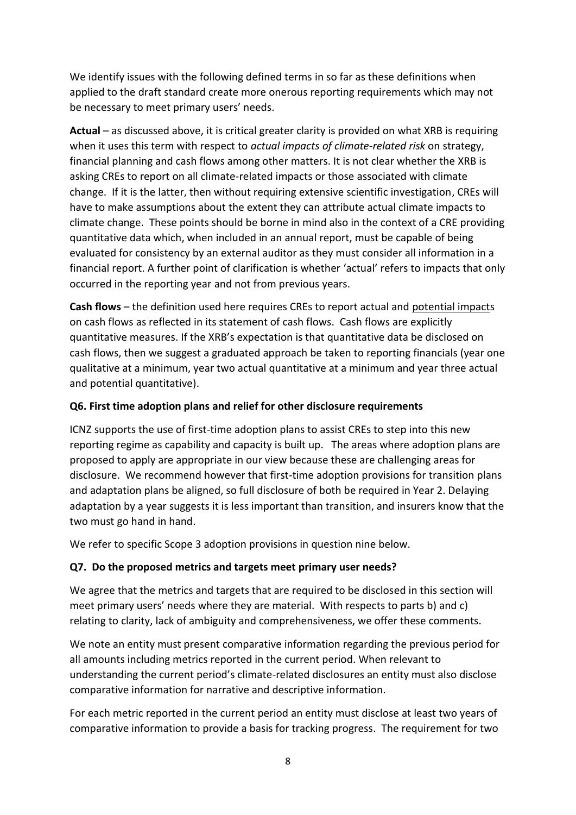We identify issues with the following defined terms in so far as these definitions when applied to the draft standard create more onerous reporting requirements which may not be necessary to meet primary users' needs.

**Actual** – as discussed above, it is critical greater clarity is provided on what XRB is requiring when it uses this term with respect to *actual impacts of climate-related risk* on strategy, financial planning and cash flows among other matters. It is not clear whether the XRB is asking CREs to report on all climate-related impacts or those associated with climate change. If it is the latter, then without requiring extensive scientific investigation, CREs will have to make assumptions about the extent they can attribute actual climate impacts to climate change. These points should be borne in mind also in the context of a CRE providing quantitative data which, when included in an annual report, must be capable of being evaluated for consistency by an external auditor as they must consider all information in a financial report. A further point of clarification is whether 'actual' refers to impacts that only occurred in the reporting year and not from previous years.

**Cash flows** – the definition used here requires CREs to report actual and potential impacts on cash flows as reflected in its statement of cash flows. Cash flows are explicitly quantitative measures. If the XRB's expectation is that quantitative data be disclosed on cash flows, then we suggest a graduated approach be taken to reporting financials (year one qualitative at a minimum, year two actual quantitative at a minimum and year three actual and potential quantitative).

### **Q6. First time adoption plans and relief for other disclosure requirements**

ICNZ supports the use of first-time adoption plans to assist CREs to step into this new reporting regime as capability and capacity is built up. The areas where adoption plans are proposed to apply are appropriate in our view because these are challenging areas for disclosure. We recommend however that first-time adoption provisions for transition plans and adaptation plans be aligned, so full disclosure of both be required in Year 2. Delaying adaptation by a year suggests it is less important than transition, and insurers know that the two must go hand in hand.

We refer to specific Scope 3 adoption provisions in question nine below.

### **Q7. Do the proposed metrics and targets meet primary user needs?**

We agree that the metrics and targets that are required to be disclosed in this section will meet primary users' needs where they are material. With respects to parts b) and c) relating to clarity, lack of ambiguity and comprehensiveness, we offer these comments.

We note an entity must present comparative information regarding the previous period for all amounts including metrics reported in the current period. When relevant to understanding the current period's climate-related disclosures an entity must also disclose comparative information for narrative and descriptive information.

For each metric reported in the current period an entity must disclose at least two years of comparative information to provide a basis for tracking progress. The requirement for two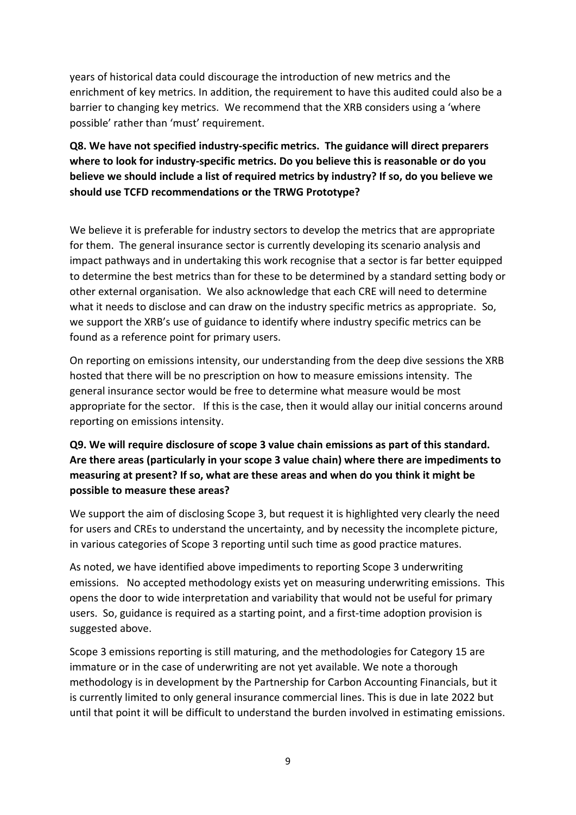years of historical data could discourage the introduction of new metrics and the enrichment of key metrics. In addition, the requirement to have this audited could also be a barrier to changing key metrics. We recommend that the XRB considers using a 'where possible' rather than 'must' requirement.

# **Q8. We have not specified industry-specific metrics. The guidance will direct preparers where to look for industry-specific metrics. Do you believe this is reasonable or do you believe we should include a list of required metrics by industry? If so, do you believe we should use TCFD recommendations or the TRWG Prototype?**

We believe it is preferable for industry sectors to develop the metrics that are appropriate for them. The general insurance sector is currently developing its scenario analysis and impact pathways and in undertaking this work recognise that a sector is far better equipped to determine the best metrics than for these to be determined by a standard setting body or other external organisation. We also acknowledge that each CRE will need to determine what it needs to disclose and can draw on the industry specific metrics as appropriate. So, we support the XRB's use of guidance to identify where industry specific metrics can be found as a reference point for primary users.

On reporting on emissions intensity, our understanding from the deep dive sessions the XRB hosted that there will be no prescription on how to measure emissions intensity. The general insurance sector would be free to determine what measure would be most appropriate for the sector. If this is the case, then it would allay our initial concerns around reporting on emissions intensity.

# **Q9. We will require disclosure of scope 3 value chain emissions as part of this standard. Are there areas (particularly in your scope 3 value chain) where there are impediments to measuring at present? If so, what are these areas and when do you think it might be possible to measure these areas?**

We support the aim of disclosing Scope 3, but request it is highlighted very clearly the need for users and CREs to understand the uncertainty, and by necessity the incomplete picture, in various categories of Scope 3 reporting until such time as good practice matures.

As noted, we have identified above impediments to reporting Scope 3 underwriting emissions. No accepted methodology exists yet on measuring underwriting emissions. This opens the door to wide interpretation and variability that would not be useful for primary users. So, guidance is required as a starting point, and a first-time adoption provision is suggested above.

Scope 3 emissions reporting is still maturing, and the methodologies for Category 15 are immature or in the case of underwriting are not yet available. We note a thorough methodology is in development by the Partnership for Carbon Accounting Financials, but it is currently limited to only general insurance commercial lines. This is due in late 2022 but until that point it will be difficult to understand the burden involved in estimating emissions.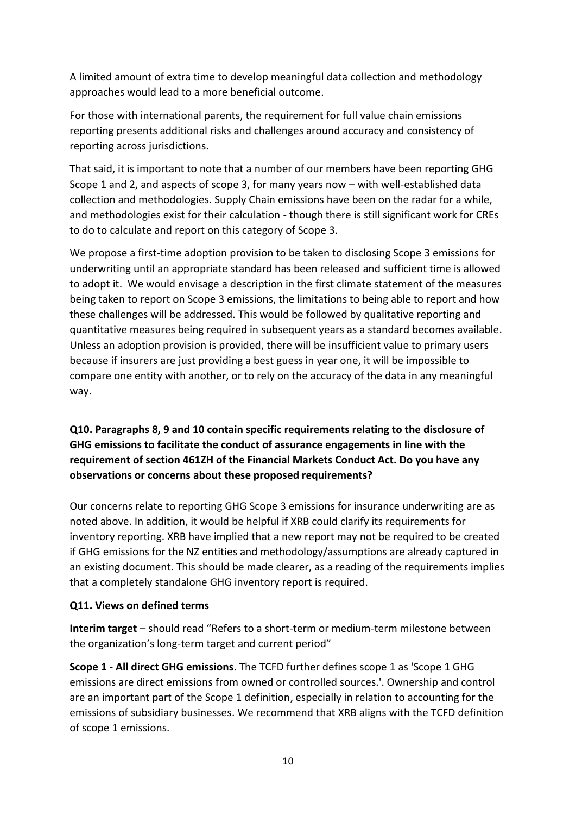A limited amount of extra time to develop meaningful data collection and methodology approaches would lead to a more beneficial outcome.

For those with international parents, the requirement for full value chain emissions reporting presents additional risks and challenges around accuracy and consistency of reporting across jurisdictions.

That said, it is important to note that a number of our members have been reporting GHG Scope 1 and 2, and aspects of scope 3, for many years now – with well-established data collection and methodologies. Supply Chain emissions have been on the radar for a while, and methodologies exist for their calculation - though there is still significant work for CREs to do to calculate and report on this category of Scope 3.

We propose a first-time adoption provision to be taken to disclosing Scope 3 emissions for underwriting until an appropriate standard has been released and sufficient time is allowed to adopt it. We would envisage a description in the first climate statement of the measures being taken to report on Scope 3 emissions, the limitations to being able to report and how these challenges will be addressed. This would be followed by qualitative reporting and quantitative measures being required in subsequent years as a standard becomes available. Unless an adoption provision is provided, there will be insufficient value to primary users because if insurers are just providing a best guess in year one, it will be impossible to compare one entity with another, or to rely on the accuracy of the data in any meaningful way.

**Q10. Paragraphs 8, 9 and 10 contain specific requirements relating to the disclosure of GHG emissions to facilitate the conduct of assurance engagements in line with the requirement of section 461ZH of the Financial Markets Conduct Act. Do you have any observations or concerns about these proposed requirements?**

Our concerns relate to reporting GHG Scope 3 emissions for insurance underwriting are as noted above. In addition, it would be helpful if XRB could clarify its requirements for inventory reporting. XRB have implied that a new report may not be required to be created if GHG emissions for the NZ entities and methodology/assumptions are already captured in an existing document. This should be made clearer, as a reading of the requirements implies that a completely standalone GHG inventory report is required.

### **Q11. Views on defined terms**

**Interim target** – should read "Refers to a short-term or medium-term milestone between the organization's long-term target and current period"

**Scope 1 - All direct GHG emissions**. The TCFD further defines scope 1 as 'Scope 1 GHG emissions are direct emissions from owned or controlled sources.'. Ownership and control are an important part of the Scope 1 definition, especially in relation to accounting for the emissions of subsidiary businesses. We recommend that XRB aligns with the TCFD definition of scope 1 emissions.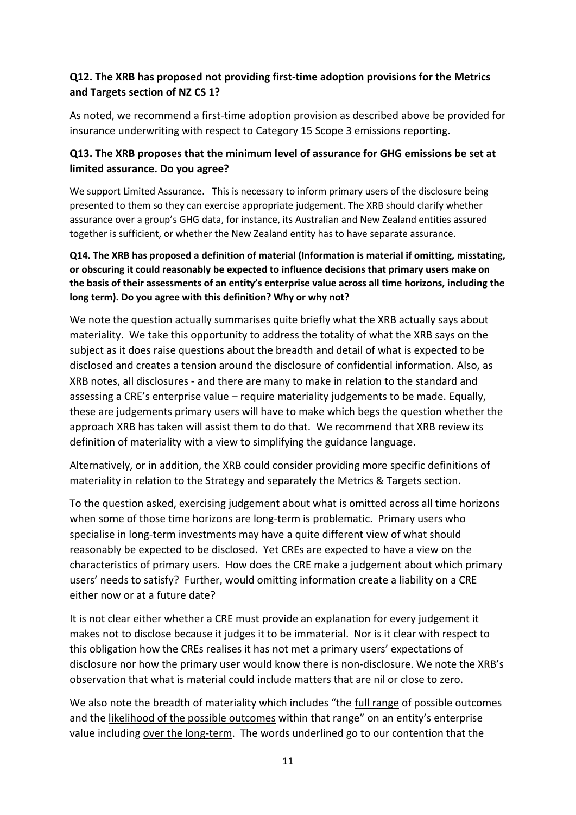## **Q12. The XRB has proposed not providing first-time adoption provisions for the Metrics and Targets section of NZ CS 1?**

As noted, we recommend a first-time adoption provision as described above be provided for insurance underwriting with respect to Category 15 Scope 3 emissions reporting.

## **Q13. The XRB proposes that the minimum level of assurance for GHG emissions be set at limited assurance. Do you agree?**

We support Limited Assurance. This is necessary to inform primary users of the disclosure being presented to them so they can exercise appropriate judgement. The XRB should clarify whether assurance over a group's GHG data, for instance, its Australian and New Zealand entities assured together is sufficient, or whether the New Zealand entity has to have separate assurance.

### **Q14. The XRB has proposed a definition of material (Information is material if omitting, misstating, or obscuring it could reasonably be expected to influence decisions that primary users make on the basis of their assessments of an entity's enterprise value across all time horizons, including the long term). Do you agree with this definition? Why or why not?**

We note the question actually summarises quite briefly what the XRB actually says about materiality. We take this opportunity to address the totality of what the XRB says on the subject as it does raise questions about the breadth and detail of what is expected to be disclosed and creates a tension around the disclosure of confidential information. Also, as XRB notes, all disclosures - and there are many to make in relation to the standard and assessing a CRE's enterprise value – require materiality judgements to be made. Equally, these are judgements primary users will have to make which begs the question whether the approach XRB has taken will assist them to do that. We recommend that XRB review its definition of materiality with a view to simplifying the guidance language.

Alternatively, or in addition, the XRB could consider providing more specific definitions of materiality in relation to the Strategy and separately the Metrics & Targets section.

To the question asked, exercising judgement about what is omitted across all time horizons when some of those time horizons are long-term is problematic. Primary users who specialise in long-term investments may have a quite different view of what should reasonably be expected to be disclosed. Yet CREs are expected to have a view on the characteristics of primary users. How does the CRE make a judgement about which primary users' needs to satisfy? Further, would omitting information create a liability on a CRE either now or at a future date?

It is not clear either whether a CRE must provide an explanation for every judgement it makes not to disclose because it judges it to be immaterial. Nor is it clear with respect to this obligation how the CREs realises it has not met a primary users' expectations of disclosure nor how the primary user would know there is non-disclosure. We note the XRB's observation that what is material could include matters that are nil or close to zero.

We also note the breadth of materiality which includes "the full range of possible outcomes and the likelihood of the possible outcomes within that range" on an entity's enterprise value including over the long-term. The words underlined go to our contention that the